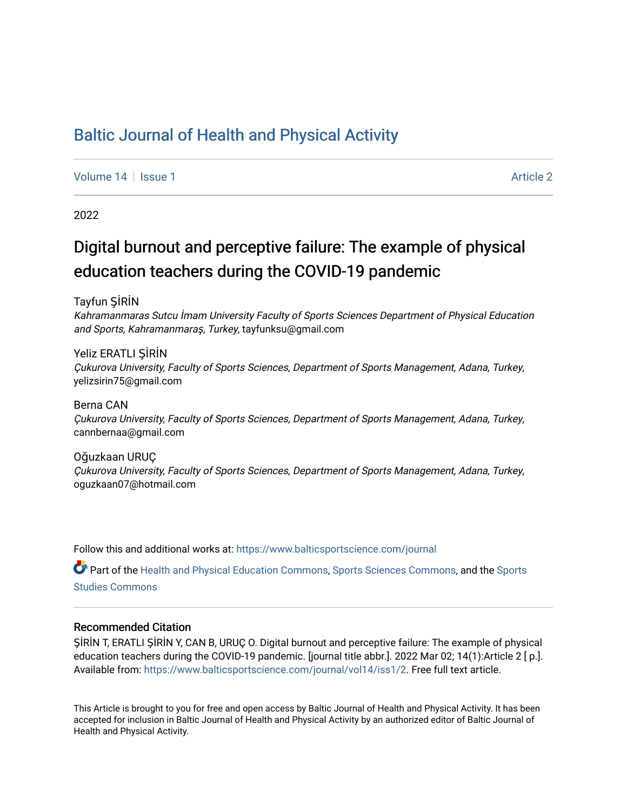## [Baltic Journal of Health and Physical Activity](https://www.balticsportscience.com/journal)

[Volume 14](https://www.balticsportscience.com/journal/vol14) Suitsue 1 [Article 2](https://www.balticsportscience.com/journal/vol14/iss1/2) Article 2 Article 2 Article 2 Article 2

2022

# Digital burnout and perceptive failure: The example of physical education teachers during the COVID-19 pandemic

Tayfun ŞİRİN

Kahramanmaras Sutcu İmam University Faculty of Sports Sciences Department of Physical Education and Sports, Kahramanmaraş, Turkey, tayfunksu@gmail.com

Yeliz ERATLI ŞİRİN Çukurova University, Faculty of Sports Sciences, Department of Sports Management, Adana, Turkey, yelizsirin75@gmail.com

Berna CAN Çukurova University, Faculty of Sports Sciences, Department of Sports Management, Adana, Turkey, cannbernaa@gmail.com

Oğuzkaan URUÇ Çukurova University, Faculty of Sports Sciences, Department of Sports Management, Adana, Turkey, oguzkaan07@hotmail.com

Follow this and additional works at: [https://www.balticsportscience.com/journal](https://www.balticsportscience.com/journal?utm_source=www.balticsportscience.com%2Fjournal%2Fvol14%2Fiss1%2F2&utm_medium=PDF&utm_campaign=PDFCoverPages) 

Part of the [Health and Physical Education Commons](https://network.bepress.com/hgg/discipline/1327?utm_source=www.balticsportscience.com%2Fjournal%2Fvol14%2Fiss1%2F2&utm_medium=PDF&utm_campaign=PDFCoverPages), [Sports Sciences Commons](https://network.bepress.com/hgg/discipline/759?utm_source=www.balticsportscience.com%2Fjournal%2Fvol14%2Fiss1%2F2&utm_medium=PDF&utm_campaign=PDFCoverPages), and the [Sports](https://network.bepress.com/hgg/discipline/1198?utm_source=www.balticsportscience.com%2Fjournal%2Fvol14%2Fiss1%2F2&utm_medium=PDF&utm_campaign=PDFCoverPages)  [Studies Commons](https://network.bepress.com/hgg/discipline/1198?utm_source=www.balticsportscience.com%2Fjournal%2Fvol14%2Fiss1%2F2&utm_medium=PDF&utm_campaign=PDFCoverPages) 

## Recommended Citation

ŞİRİN T, ERATLI ŞİRİN Y, CAN B, URUÇ O. Digital burnout and perceptive failure: The example of physical education teachers during the COVID-19 pandemic. [journal title abbr.]. 2022 Mar 02; 14(1):Article 2 [ p.]. Available from: [https://www.balticsportscience.com/journal/vol14/iss1/2.](https://www.balticsportscience.com/journal/vol14/iss1/2?utm_source=www.balticsportscience.com%2Fjournal%2Fvol14%2Fiss1%2F2&utm_medium=PDF&utm_campaign=PDFCoverPages) Free full text article.

This Article is brought to you for free and open access by Baltic Journal of Health and Physical Activity. It has been accepted for inclusion in Baltic Journal of Health and Physical Activity by an authorized editor of Baltic Journal of Health and Physical Activity.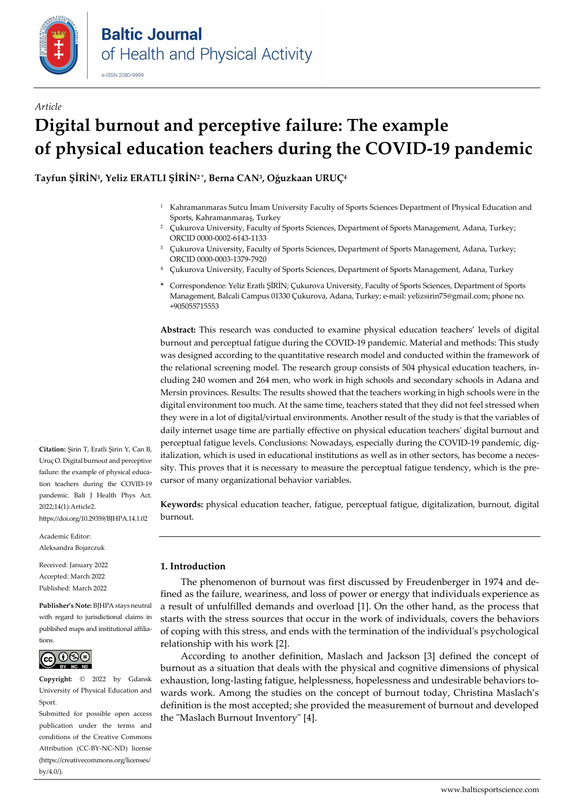

## *Article* **Digital burnout and perceptive failure: The example of physical education teachers during the COVID-19 pandemic**

**Tayfun ŞİRİN1, Yeliz ERATLI ŞİRİN<sup>2</sup> \*, Berna CAN3, Oğuzkaan URUÇ<sup>4</sup>**

- <sup>1</sup> Kahramanmaras Sutcu İmam University Faculty of Sports Sciences Department of Physical Education and Sports, Kahramanmaraş, Turkey
- <sup>2</sup> Çukurova University, Faculty of Sports Sciences, Department of Sports Management, Adana, Turkey; ORCID 0000-0002-6143-1133
- <sup>3</sup> Çukurova University, Faculty of Sports Sciences, Department of Sports Management, Adana, Turkey; ORCID 0000-0003-1379-7920
- <sup>4</sup> Çukurova University, Faculty of Sports Sciences, Department of Sports Management, Adana, Turkey
- **\*** Correspondence: Yeliz Eratlı ŞİRİN; Çukurova University, Faculty of Sports Sciences, Department of Sports Management, Balcali Campus 01330 Çukurova, Adana, Turkey; e-mail: [yelizsirin75@gmail.com](mailto:yelizsirin75@gmail.com); phone no. +905055715553

**Abstract:** This research was conducted to examine physical education teachers' levels of digital burnout and perceptual fatigue during the COVID-19 pandemic. Material and methods: This study was designed according to the quantitative research model and conducted within the framework of the relational screening model. The research group consists of 504 physical education teachers, including 240 women and 264 men, who work in high schools and secondary schools in Adana and Mersin provinces. Results: The results showed that the teachers working in high schools were in the digital environment too much. At the same time, teachers stated that they did not feel stressed when they were in a lot of digital/virtual environments. Another result of the study is that the variables of daily internet usage time are partially effective on physical education teachers' digital burnout and perceptual fatigue levels. Conclusions: Nowadays, especially during the COVID-19 pandemic, digitalization, which is used in educational institutions as well as in other sectors, has become a necessity. This proves that it is necessary to measure the perceptual fatigue tendency, which is the precursor of many organizational behavior variables.

**Keywords:** physical education teacher, fatigue, perceptual fatigue, digitalization, burnout, digital burnout.

## **1. Introduction**

The phenomenon of burnout was first discussed by Freudenberger in 1974 and defined as the failure, weariness, and loss of power or energy that individuals experience as a result of unfulfilled demands and overload [1]. On the other hand, as the process that starts with the stress sources that occur in the work of individuals, covers the behaviors of coping with this stress, and ends with the termination of the individual's psychological relationship with his work [2].

According to another definition, Maslach and Jackson [3] defined the concept of burnout as a situation that deals with the physical and cognitive dimensions of physical exhaustion, long-lasting fatigue, helplessness, hopelessness and undesirable behaviors towards work. Among the studies on the concept of burnout today, Christina Maslach's definition is the most accepted; she provided the measurement of burnout and developed the "Maslach Burnout Inventory" [4].

**Citation:** Şirin T, Eratli Şirin Y, Can B, Uruç O. Digital burnout and perceptive failure: the example of physical education teachers during the COVID-19 pandemic. Balt J Health Phys Act. 2022;14(1):Article2. https://doi.org/10.29359/BJHPA.14.1.02

Academic Editor: Aleksandra Bojarczuk

Received: January 2022 Accepted: March 2022 Published: March 2022

**Publisher's Note:** BJHPA stays neutral with regard to jurisdictional claims in published maps and institutional affiliations.



**Copyright:** © 2022 by Gdansk University of Physical Education and Sport.

Submitted for possible open access publication under the terms and conditions of the Creative Commons Attribution (CC-BY-NC-ND) license (https://creativecommons.org/licenses/  $by/4.0/$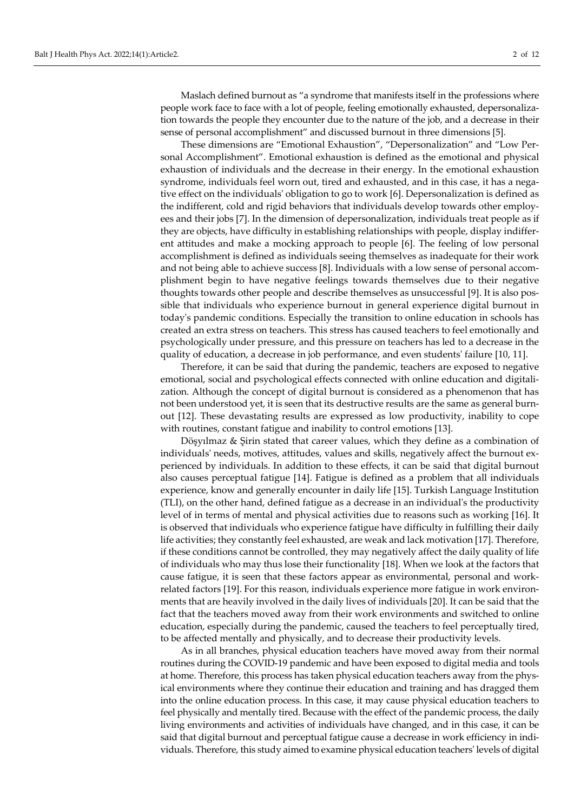Maslach defined burnout as "a syndrome that manifests itself in the professions where people work face to face with a lot of people, feeling emotionally exhausted, depersonalization towards the people they encounter due to the nature of the job, and a decrease in their sense of personal accomplishment" and discussed burnout in three dimensions [5].

These dimensions are "Emotional Exhaustion", "Depersonalization" and "Low Personal Accomplishment". Emotional exhaustion is defined as the emotional and physical exhaustion of individuals and the decrease in their energy. In the emotional exhaustion syndrome, individuals feel worn out, tired and exhausted, and in this case, it has a negative effect on the individuals' obligation to go to work [6]. Depersonalization is defined as the indifferent, cold and rigid behaviors that individuals develop towards other employees and their jobs [7]. In the dimension of depersonalization, individuals treat people as if they are objects, have difficulty in establishing relationships with people, display indifferent attitudes and make a mocking approach to people [6]. The feeling of low personal accomplishment is defined as individuals seeing themselves as inadequate for their work and not being able to achieve success [8]. Individuals with a low sense of personal accomplishment begin to have negative feelings towards themselves due to their negative thoughts towards other people and describe themselves as unsuccessful [9]. It is also possible that individuals who experience burnout in general experience digital burnout in today's pandemic conditions. Especially the transition to online education in schools has created an extra stress on teachers. This stress has caused teachers to feel emotionally and psychologically under pressure, and this pressure on teachers has led to a decrease in the quality of education, a decrease in job performance, and even students' failure [10, 11].

Therefore, it can be said that during the pandemic, teachers are exposed to negative emotional, social and psychological effects connected with online education and digitalization. Although the concept of digital burnout is considered as a phenomenon that has not been understood yet, it is seen that its destructive results are the same as general burnout [12]. These devastating results are expressed as low productivity, inability to cope with routines, constant fatigue and inability to control emotions [13].

Döşyılmaz & Şirin stated that career values, which they define as a combination of individuals' needs, motives, attitudes, values and skills, negatively affect the burnout experienced by individuals. In addition to these effects, it can be said that digital burnout also causes perceptual fatigue [14]. Fatigue is defined as a problem that all individuals experience, know and generally encounter in daily life [15]. Turkish Language Institution (TLI), on the other hand, defined fatigue as a decrease in an individual's the productivity level of in terms of mental and physical activities due to reasons such as working [16]. It is observed that individuals who experience fatigue have difficulty in fulfilling their daily life activities; they constantly feel exhausted, are weak and lack motivation [17]. Therefore, if these conditions cannot be controlled, they may negatively affect the daily quality of life of individuals who may thus lose their functionality [18]. When we look at the factors that cause fatigue, it is seen that these factors appear as environmental, personal and workrelated factors [19]. For this reason, individuals experience more fatigue in work environments that are heavily involved in the daily lives of individuals [20]. It can be said that the fact that the teachers moved away from their work environments and switched to online education, especially during the pandemic, caused the teachers to feel perceptually tired, to be affected mentally and physically, and to decrease their productivity levels.

As in all branches, physical education teachers have moved away from their normal routines during the COVID-19 pandemic and have been exposed to digital media and tools at home. Therefore, this process has taken physical education teachers away from the physical environments where they continue their education and training and has dragged them into the online education process. In this case, it may cause physical education teachers to feel physically and mentally tired. Because with the effect of the pandemic process, the daily living environments and activities of individuals have changed, and in this case, it can be said that digital burnout and perceptual fatigue cause a decrease in work efficiency in individuals. Therefore, this study aimed to examine physical education teachers' levels of digital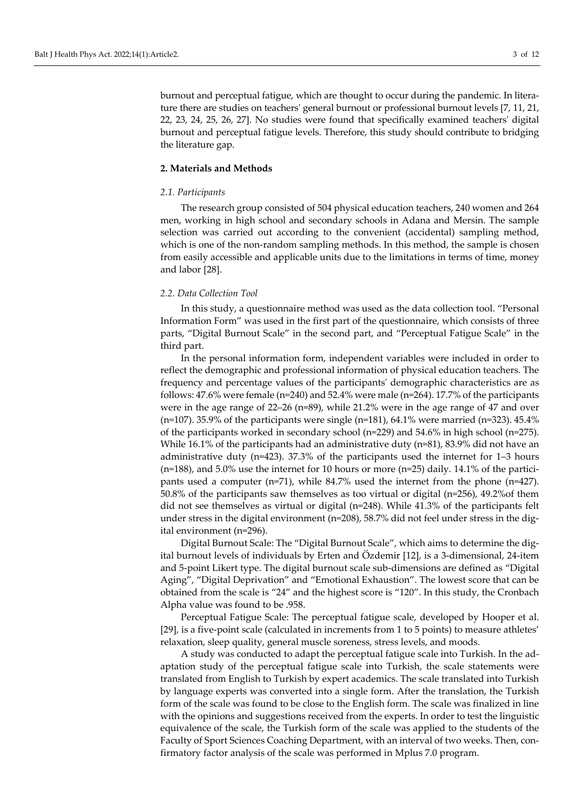burnout and perceptual fatigue, which are thought to occur during the pandemic. In literature there are studies on teachers' general burnout or professional burnout levels [7, 11, 21, 22, 23, 24, 25, 26, 27]. No studies were found that specifically examined teachers' digital burnout and perceptual fatigue levels. Therefore, this study should contribute to bridging the literature gap.

### **2. Materials and Methods**

#### *2.1. Participants*

The research group consisted of 504 physical education teachers, 240 women and 264 men, working in high school and secondary schools in Adana and Mersin. The sample selection was carried out according to the convenient (accidental) sampling method, which is one of the non-random sampling methods. In this method, the sample is chosen from easily accessible and applicable units due to the limitations in terms of time, money and labor [28].

#### *2.2. Data Collection Tool*

In this study, a questionnaire method was used as the data collection tool. "Personal Information Form" was used in the first part of the questionnaire, which consists of three parts, "Digital Burnout Scale" in the second part, and "Perceptual Fatigue Scale" in the third part.

In the personal information form, independent variables were included in order to reflect the demographic and professional information of physical education teachers. The frequency and percentage values of the participants' demographic characteristics are as follows: 47.6% were female (n=240) and 52.4% were male (n=264). 17.7% of the participants were in the age range of  $22-26$  (n=89), while  $21.2\%$  were in the age range of 47 and over ( $n=107$ ). 35.9% of the participants were single ( $n=181$ ), 64.1% were married ( $n=323$ ). 45.4% of the participants worked in secondary school (n=229) and 54.6% in high school (n=275). While 16.1% of the participants had an administrative duty (n=81), 83.9% did not have an administrative duty (n=423). 37.3% of the participants used the internet for 1–3 hours (n=188), and 5.0% use the internet for 10 hours or more (n=25) daily. 14.1% of the participants used a computer (n=71), while 84.7% used the internet from the phone (n=427). 50.8% of the participants saw themselves as too virtual or digital (n=256), 49.2%of them did not see themselves as virtual or digital (n=248). While 41.3% of the participants felt under stress in the digital environment (n=208), 58.7% did not feel under stress in the digital environment (n=296).

Digital Burnout Scale: The "Digital Burnout Scale", which aims to determine the digital burnout levels of individuals by Erten and Özdemir [12], is a 3-dimensional, 24-item and 5-point Likert type. The digital burnout scale sub-dimensions are defined as "Digital Aging", "Digital Deprivation" and "Emotional Exhaustion". The lowest score that can be obtained from the scale is "24" and the highest score is "120". In this study, the Cronbach Alpha value was found to be .958.

Perceptual Fatigue Scale: The perceptual fatigue scale, developed by Hooper et al. [29], is a five-point scale (calculated in increments from 1 to 5 points) to measure athletes' relaxation, sleep quality, general muscle soreness, stress levels, and moods.

A study was conducted to adapt the perceptual fatigue scale into Turkish. In the adaptation study of the perceptual fatigue scale into Turkish, the scale statements were translated from English to Turkish by expert academics. The scale translated into Turkish by language experts was converted into a single form. After the translation, the Turkish form of the scale was found to be close to the English form. The scale was finalized in line with the opinions and suggestions received from the experts. In order to test the linguistic equivalence of the scale, the Turkish form of the scale was applied to the students of the Faculty of Sport Sciences Coaching Department, with an interval of two weeks. Then, confirmatory factor analysis of the scale was performed in Mplus 7.0 program.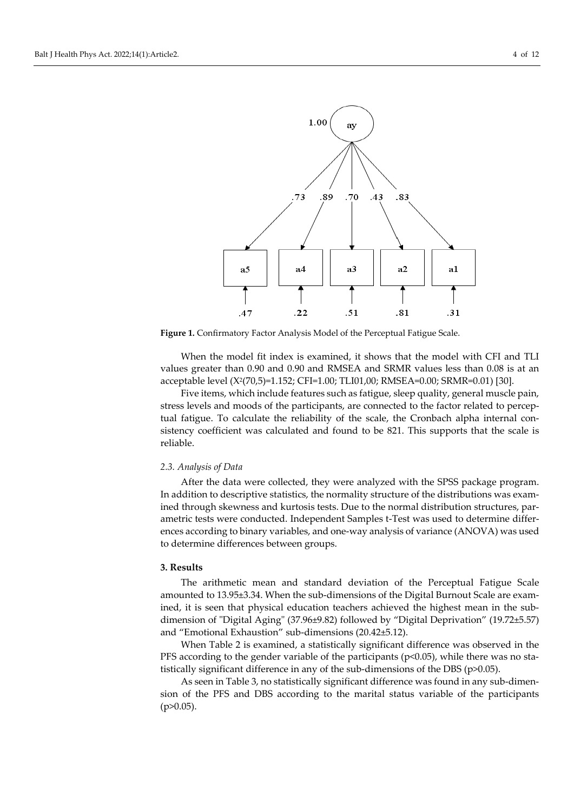

**Figure 1.** Confirmatory Factor Analysis Model of the Perceptual Fatigue Scale.

When the model fit index is examined, it shows that the model with CFI and TLI values greater than 0.90 and 0.90 and RMSEA and SRMR values less than 0.08 is at an acceptable level (X2(70,5)=1.152; CFI=1.00; TLI01,00; RMSEA=0.00; SRMR=0.01) [30].

Five items, which include features such as fatigue, sleep quality, general muscle pain, stress levels and moods of the participants, are connected to the factor related to perceptual fatigue. To calculate the reliability of the scale, the Cronbach alpha internal consistency coefficient was calculated and found to be 821. This supports that the scale is reliable.

#### *2.3. Analysis of Data*

After the data were collected, they were analyzed with the SPSS package program. In addition to descriptive statistics, the normality structure of the distributions was examined through skewness and kurtosis tests. Due to the normal distribution structures, parametric tests were conducted. Independent Samples t-Test was used to determine differences according to binary variables, and one-way analysis of variance (ANOVA) was used to determine differences between groups.

## **3. Results**

The arithmetic mean and standard deviation of the Perceptual Fatigue Scale amounted to 13.95±3.34. When the sub-dimensions of the Digital Burnout Scale are examined, it is seen that physical education teachers achieved the highest mean in the subdimension of "Digital Aging" (37.96±9.82) followed by "Digital Deprivation" (19.72±5.57) and "Emotional Exhaustion" sub-dimensions (20.42±5.12).

When Table 2 is examined, a statistically significant difference was observed in the PFS according to the gender variable of the participants ( $p<0.05$ ), while there was no statistically significant difference in any of the sub-dimensions of the DBS (p>0.05).

As seen in Table 3, no statistically significant difference was found in any sub-dimension of the PFS and DBS according to the marital status variable of the participants  $(p>0.05)$ .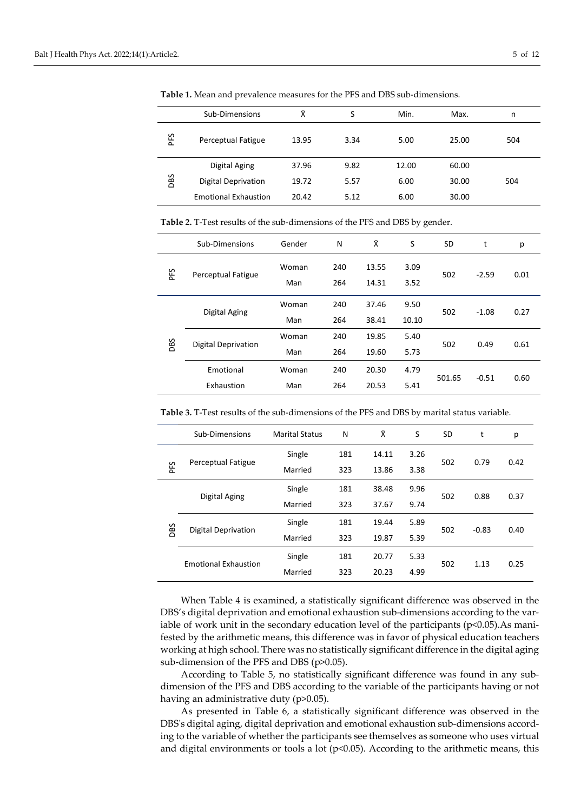|     | Sub-Dimensions              | Ÿ.    | S    | Min.  | Max.  | n   |
|-----|-----------------------------|-------|------|-------|-------|-----|
| PFS | Perceptual Fatigue          | 13.95 | 3.34 | 5.00  | 25.00 | 504 |
| DBS | Digital Aging               | 37.96 | 9.82 | 12.00 | 60.00 |     |
|     | Digital Deprivation         | 19.72 | 5.57 | 6.00  | 30.00 | 504 |
|     | <b>Emotional Exhaustion</b> | 20.42 | 5.12 | 6.00  | 30.00 |     |

**Table 1.** Mean and prevalence measures for the PFS and DBS sub-dimensions.

**Table 2.** T-Test results of the sub-dimensions of the PFS and DBS by gender.

|     | Sub-Dimensions      | Gender | N   | Χ     | S     | <b>SD</b> | t       | р    |
|-----|---------------------|--------|-----|-------|-------|-----------|---------|------|
|     | Perceptual Fatigue  | Woman  | 240 | 13.55 | 3.09  |           | $-2.59$ |      |
| ΡĘ  |                     | Man    | 264 | 14.31 | 3.52  | 502       |         | 0.01 |
|     |                     | Woman  | 240 | 37.46 | 9.50  | 502       | $-1.08$ | 0.27 |
|     | Digital Aging       | Man    | 264 | 38.41 | 10.10 |           |         |      |
|     |                     | Woman  | 240 | 19.85 | 5.40  | 502       |         | 0.61 |
| DBS | Digital Deprivation | Man    | 264 | 19.60 | 5.73  |           | 0.49    |      |
|     | Emotional           | Woman  | 240 | 20.30 | 4.79  |           |         |      |
|     | Exhaustion          | Man    | 264 | 20.53 | 5.41  | 501.65    | $-0.51$ | 0.60 |

|     | Sub-Dimensions              | <b>Marital Status</b> | N   | Χ     | S    | <b>SD</b> | t       | p    |
|-----|-----------------------------|-----------------------|-----|-------|------|-----------|---------|------|
|     |                             | Single                | 181 | 14.11 | 3.26 |           | 0.79    |      |
| PFS | Perceptual Fatigue          | Married               | 323 | 13.86 | 3.38 | 502       |         | 0.42 |
|     |                             | Single                | 181 | 38.48 | 9.96 | 502       | 0.88    | 0.37 |
|     | Digital Aging               | Married               | 323 | 37.67 | 9.74 |           |         |      |
| DBS | <b>Digital Deprivation</b>  | Single                | 181 | 19.44 | 5.89 | 502       | $-0.83$ | 0.40 |
|     |                             | Married               | 323 | 19.87 | 5.39 |           |         |      |
|     | <b>Emotional Exhaustion</b> | Single                | 181 | 20.77 | 5.33 | 502       | 1.13    | 0.25 |
|     |                             | Married               | 323 | 20.23 | 4.99 |           |         |      |

**Table 3.** T-Test results of the sub-dimensions of the PFS and DBS by marital status variable.

When Table 4 is examined, a statistically significant difference was observed in the DBS's digital deprivation and emotional exhaustion sub-dimensions according to the variable of work unit in the secondary education level of the participants ( $p<0.05$ ). As manifested by the arithmetic means, this difference was in favor of physical education teachers working at high school. There was no statistically significant difference in the digital aging sub-dimension of the PFS and DBS (p>0.05).

According to Table 5, no statistically significant difference was found in any subdimension of the PFS and DBS according to the variable of the participants having or not having an administrative duty (p>0.05).

As presented in Table 6, a statistically significant difference was observed in the DBS's digital aging, digital deprivation and emotional exhaustion sub-dimensions according to the variable of whether the participants see themselves as someone who uses virtual and digital environments or tools a lot ( $p$ <0.05). According to the arithmetic means, this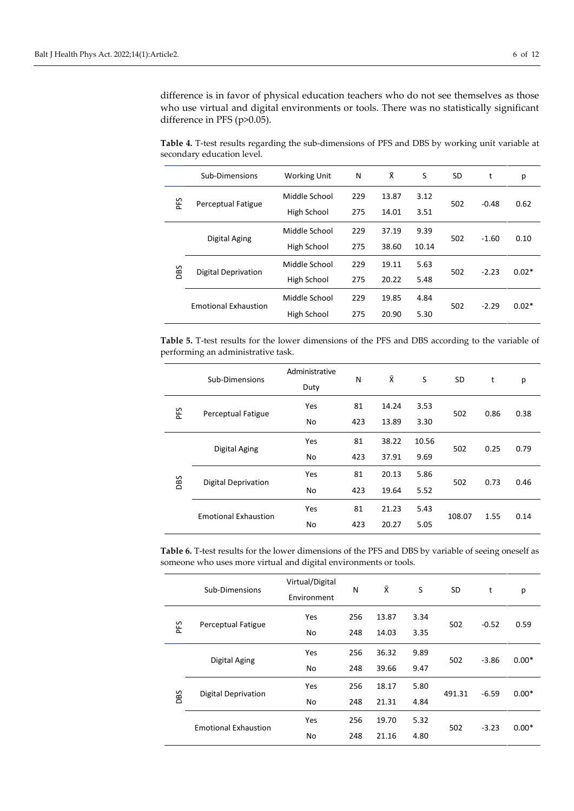difference is in favor of physical education teachers who do not see themselves as those who use virtual and digital environments or tools. There was no statistically significant difference in PFS (p>0.05).

**Table 4.** T-test results regarding the sub-dimensions of PFS and DBS by working unit variable at secondary education level.

|            | Sub-Dimensions              | <b>Working Unit</b> | N   | Χī    | S     | <b>SD</b> | t       | p       |
|------------|-----------------------------|---------------------|-----|-------|-------|-----------|---------|---------|
| ΡÉS        |                             | Middle School       | 229 | 13.87 | 3.12  | 502       | $-0.48$ | 0.62    |
|            | Perceptual Fatigue          | High School         | 275 | 14.01 | 3.51  |           |         |         |
|            | Digital Aging               | Middle School       | 229 | 37.19 | 9.39  | 502       | $-1.60$ | 0.10    |
|            |                             | High School         | 275 | 38.60 | 10.14 |           |         |         |
| <b>DBS</b> | Digital Deprivation         | Middle School       | 229 | 19.11 | 5.63  | 502       | $-2.23$ | $0.02*$ |
|            |                             | High School         | 275 | 20.22 | 5.48  |           |         |         |
|            | <b>Emotional Exhaustion</b> | Middle School       | 229 | 19.85 | 4.84  | 502       |         |         |
|            |                             | High School         | 275 | 20.90 | 5.30  |           | $-2.29$ | $0.02*$ |

**Table 5.** T-test results for the lower dimensions of the PFS and DBS according to the variable of performing an administrative task.

|     | Sub-Dimensions              | Administrative<br>Duty | N   | Χ     | S     | SD     | t    | p    |
|-----|-----------------------------|------------------------|-----|-------|-------|--------|------|------|
| PFS | Perceptual Fatigue          | Yes                    | 81  | 14.24 | 3.53  | 502    | 0.86 | 0.38 |
|     |                             | No                     | 423 | 13.89 | 3.30  |        |      |      |
|     | Digital Aging               | Yes                    | 81  | 38.22 | 10.56 | 502    | 0.25 | 0.79 |
|     |                             | No                     | 423 | 37.91 | 9.69  |        |      |      |
| DBS | <b>Digital Deprivation</b>  | Yes                    | 81  | 20.13 | 5.86  | 502    | 0.73 | 0.46 |
|     |                             | No                     | 423 | 19.64 | 5.52  |        |      |      |
|     |                             | Yes                    | 81  | 21.23 | 5.43  | 108.07 |      |      |
|     | <b>Emotional Exhaustion</b> | No                     | 423 | 20.27 | 5.05  |        | 1.55 | 0.14 |

**Table 6.** T-test results for the lower dimensions of the PFS and DBS by variable of seeing oneself as someone who uses more virtual and digital environments or tools.

|     | Sub-Dimensions              | Virtual/Digital<br>Environment | N   | Ŷ     | S    | SD     | t                  | р                  |
|-----|-----------------------------|--------------------------------|-----|-------|------|--------|--------------------|--------------------|
|     | Perceptual Fatigue          | Yes                            | 256 | 13.87 | 3.34 | 502    | $-0.52$            | 0.59               |
| PFS |                             | No                             | 248 | 14.03 | 3.35 |        |                    |                    |
|     | Digital Aging               | Yes                            | 256 | 36.32 | 9.89 | 502    | $-3.86$<br>$-6.59$ | $0.00*$<br>$0.00*$ |
|     |                             | No                             | 248 | 39.66 | 9.47 |        |                    |                    |
|     | <b>Digital Deprivation</b>  | Yes                            | 256 | 18.17 | 5.80 | 491.31 |                    |                    |
| DBS |                             | No                             | 248 | 21.31 | 4.84 |        |                    |                    |
|     |                             | Yes                            | 256 | 19.70 | 5.32 | 502    |                    |                    |
|     | <b>Emotional Exhaustion</b> | No                             | 248 | 21.16 | 4.80 |        | $-3.23$            | $0.00*$            |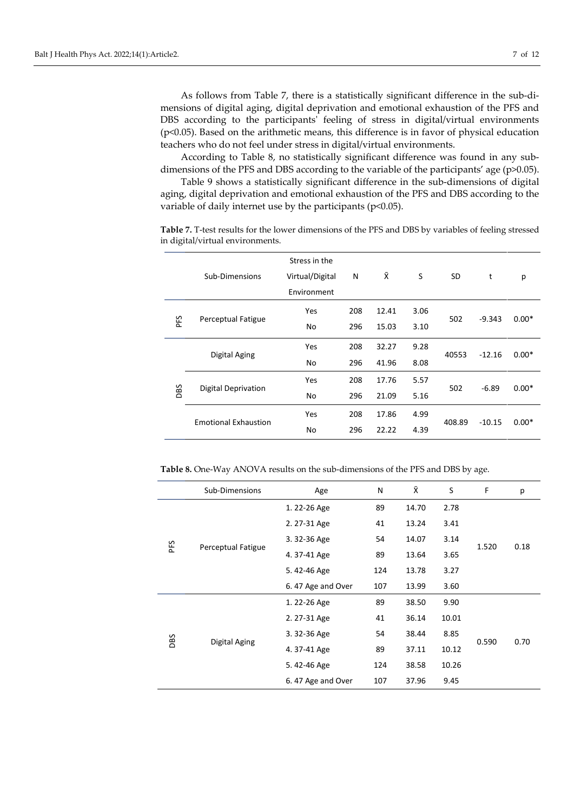As follows from Table 7, there is a statistically significant difference in the sub-dimensions of digital aging, digital deprivation and emotional exhaustion of the PFS and DBS according to the participants' feeling of stress in digital/virtual environments (p<0.05). Based on the arithmetic means, this difference is in favor of physical education teachers who do not feel under stress in digital/virtual environments.

According to Table 8, no statistically significant difference was found in any subdimensions of the PFS and DBS according to the variable of the participants' age (p>0.05).

Table 9 shows a statistically significant difference in the sub-dimensions of digital aging, digital deprivation and emotional exhaustion of the PFS and DBS according to the variable of daily internet use by the participants ( $p<0.05$ ).

**Table 7.** T-test results for the lower dimensions of the PFS and DBS by variables of feeling stressed in digital/virtual environments.

| Χ<br>S<br>Sub-Dimensions<br>Virtual/Digital<br>N<br><b>SD</b><br>t          | р       |
|-----------------------------------------------------------------------------|---------|
| Environment                                                                 |         |
| Yes<br>208<br>12.41<br>3.06<br>502<br>$-9.343$                              | $0.00*$ |
| PFS<br>Perceptual Fatigue<br>296<br>No<br>15.03<br>3.10                     |         |
| 208<br>9.28<br>Yes<br>32.27<br>Digital Aging<br>40553<br>$-12.16$           | $0.00*$ |
| 296<br>8.08<br>No<br>41.96                                                  |         |
| 208<br>Yes<br>17.76<br>5.57<br>502<br>$-6.89$<br><b>Digital Deprivation</b> | $0.00*$ |
| DBS<br>296<br>21.09<br>5.16<br>No                                           |         |
| 208<br>17.86<br>4.99<br>Yes<br><b>Emotional Exhaustion</b>                  |         |
| 408.89<br>$-10.15$<br>22.22<br>296<br>4.39<br>No                            | $0.00*$ |

**Table 8.** One-Way ANOVA results on the sub-dimensions of the PFS and DBS by age.

|     | Sub-Dimensions     | Age               | N   | ΧĪ.   | S     | F     | р    |
|-----|--------------------|-------------------|-----|-------|-------|-------|------|
|     |                    | 1.22-26 Age       | 89  | 14.70 | 2.78  |       |      |
|     |                    | 2.27-31 Age       | 41  | 13.24 | 3.41  |       |      |
| PFS |                    | 3.32-36 Age       | 54  | 14.07 | 3.14  | 1.520 | 0.18 |
|     | Perceptual Fatigue | 4.37-41 Age       | 89  | 13.64 | 3.65  |       |      |
|     |                    | 5.42-46 Age       | 124 | 13.78 | 3.27  |       |      |
|     |                    | 6.47 Age and Over | 107 | 13.99 | 3.60  |       |      |
|     |                    | 1.22-26 Age       | 89  | 38.50 | 9.90  |       |      |
|     |                    | 2.27-31 Age       | 41  | 36.14 | 10.01 |       |      |
| DBS | Digital Aging      | 3.32-36 Age       | 54  | 38.44 | 8.85  | 0.590 | 0.70 |
|     |                    | 4.37-41 Age       | 89  | 37.11 | 10.12 |       |      |
|     |                    | 5.42-46 Age       | 124 | 38.58 | 10.26 |       |      |
|     |                    | 6.47 Age and Over | 107 | 37.96 | 9.45  |       |      |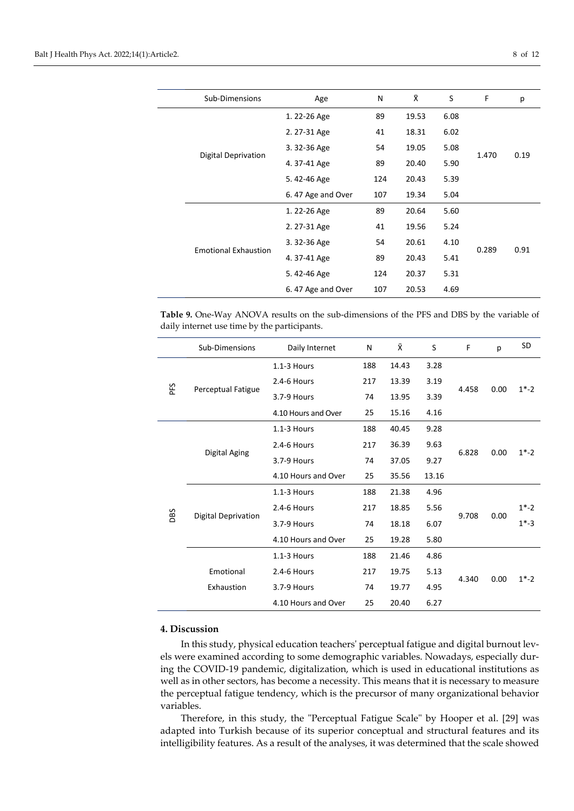|  | Sub-Dimensions              | Age               | N   | Χī    | S    | F     | р    |
|--|-----------------------------|-------------------|-----|-------|------|-------|------|
|  |                             | 1.22-26 Age       | 89  | 19.53 | 6.08 |       |      |
|  |                             | 2.27-31 Age       | 41  | 18.31 | 6.02 |       |      |
|  |                             | 3.32-36 Age       | 54  | 19.05 | 5.08 | 1.470 | 0.19 |
|  | Digital Deprivation         | 4.37-41 Age       | 89  | 20.40 | 5.90 |       |      |
|  |                             | 5.42-46 Age       | 124 | 20.43 | 5.39 |       |      |
|  |                             | 6.47 Age and Over | 107 | 19.34 | 5.04 |       |      |
|  |                             | 1.22-26 Age       | 89  | 20.64 | 5.60 |       |      |
|  |                             | 2.27-31 Age       | 41  | 19.56 | 5.24 |       |      |
|  | <b>Emotional Exhaustion</b> | 3.32-36 Age       | 54  | 20.61 | 4.10 |       |      |
|  |                             | 4.37-41 Age       | 89  | 20.43 | 5.41 | 0.289 | 0.91 |
|  |                             | 5.42-46 Age       | 124 | 20.37 | 5.31 |       |      |
|  |                             | 6.47 Age and Over | 107 | 20.53 | 4.69 |       |      |

**Table 9.** One-Way ANOVA results on the sub-dimensions of the PFS and DBS by the variable of daily internet use time by the participants.

|     | Sub-Dimensions             | Daily Internet      | N   | Χī    | S     | F     | р    | <b>SD</b> |
|-----|----------------------------|---------------------|-----|-------|-------|-------|------|-----------|
|     |                            | $1.1 - 3$ Hours     | 188 | 14.43 | 3.28  |       |      |           |
| PFS |                            | 2.4-6 Hours         | 217 | 13.39 | 3.19  | 4.458 | 0.00 |           |
|     | Perceptual Fatigue         | 3.7-9 Hours         | 74  | 13.95 | 3.39  |       |      | $1*-2$    |
|     |                            | 4.10 Hours and Over | 25  | 15.16 | 4.16  |       |      |           |
|     |                            | $1.1 - 3$ Hours     | 188 | 40.45 | 9.28  |       |      |           |
|     | Digital Aging              | 2.4-6 Hours         | 217 | 36.39 | 9.63  | 6.828 | 0.00 | $1*-2$    |
|     |                            | 3.7-9 Hours         | 74  | 37.05 | 9.27  |       |      |           |
|     |                            | 4.10 Hours and Over | 25  | 35.56 | 13.16 |       |      |           |
|     |                            | $1.1 - 3$ Hours     | 188 | 21.38 | 4.96  |       |      |           |
| DBS | <b>Digital Deprivation</b> | 2.4-6 Hours         | 217 | 18.85 | 5.56  | 9.708 | 0.00 | $1* - 2$  |
|     |                            | 3.7-9 Hours         | 74  | 18.18 | 6.07  |       |      | $1*-3$    |
|     |                            | 4.10 Hours and Over | 25  | 19.28 | 5.80  |       |      |           |
|     |                            | $1.1 - 3$ Hours     | 188 | 21.46 | 4.86  |       |      |           |
|     | Emotional                  | 2.4-6 Hours         | 217 | 19.75 | 5.13  | 4.340 | 0.00 | $1*-2$    |
|     | Exhaustion                 | 3.7-9 Hours         | 74  | 19.77 | 4.95  |       |      |           |
|     |                            | 4.10 Hours and Over | 25  | 20.40 | 6.27  |       |      |           |

## **4. Discussion**

In this study, physical education teachers' perceptual fatigue and digital burnout levels were examined according to some demographic variables. Nowadays, especially during the COVID-19 pandemic, digitalization, which is used in educational institutions as well as in other sectors, has become a necessity. This means that it is necessary to measure the perceptual fatigue tendency, which is the precursor of many organizational behavior variables.

Therefore, in this study, the "Perceptual Fatigue Scale" by Hooper et al. [29] was adapted into Turkish because of its superior conceptual and structural features and its intelligibility features. As a result of the analyses, it was determined that the scale showed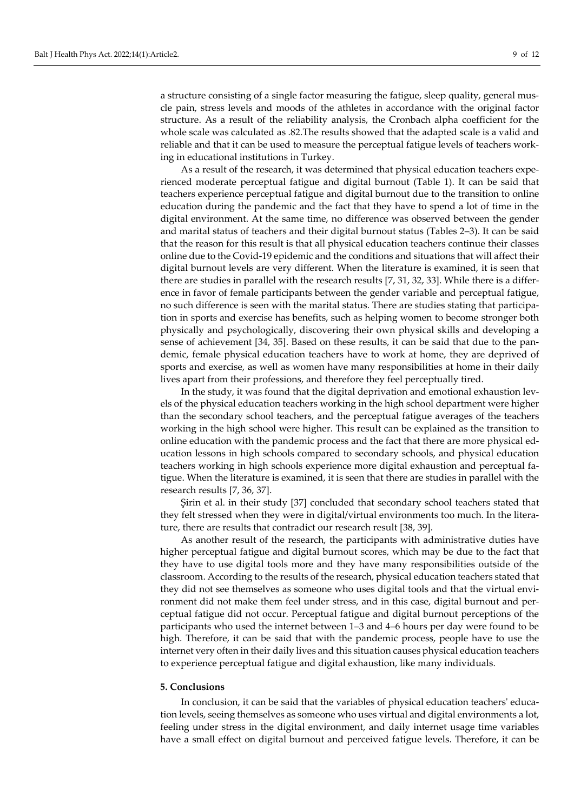a structure consisting of a single factor measuring the fatigue, sleep quality, general muscle pain, stress levels and moods of the athletes in accordance with the original factor structure. As a result of the reliability analysis, the Cronbach alpha coefficient for the whole scale was calculated as .82.The results showed that the adapted scale is a valid and reliable and that it can be used to measure the perceptual fatigue levels of teachers working in educational institutions in Turkey.

As a result of the research, it was determined that physical education teachers experienced moderate perceptual fatigue and digital burnout (Table 1). It can be said that teachers experience perceptual fatigue and digital burnout due to the transition to online education during the pandemic and the fact that they have to spend a lot of time in the digital environment. At the same time, no difference was observed between the gender and marital status of teachers and their digital burnout status (Tables 2–3). It can be said that the reason for this result is that all physical education teachers continue their classes online due to the Covid-19 epidemic and the conditions and situations that will affect their digital burnout levels are very different. When the literature is examined, it is seen that there are studies in parallel with the research results [7, 31, 32, 33]. While there is a difference in favor of female participants between the gender variable and perceptual fatigue, no such difference is seen with the marital status. There are studies stating that participation in sports and exercise has benefits, such as helping women to become stronger both physically and psychologically, discovering their own physical skills and developing a sense of achievement [34, 35]. Based on these results, it can be said that due to the pandemic, female physical education teachers have to work at home, they are deprived of sports and exercise, as well as women have many responsibilities at home in their daily lives apart from their professions, and therefore they feel perceptually tired.

In the study, it was found that the digital deprivation and emotional exhaustion levels of the physical education teachers working in the high school department were higher than the secondary school teachers, and the perceptual fatigue averages of the teachers working in the high school were higher. This result can be explained as the transition to online education with the pandemic process and the fact that there are more physical education lessons in high schools compared to secondary schools, and physical education teachers working in high schools experience more digital exhaustion and perceptual fatigue. When the literature is examined, it is seen that there are studies in parallel with the research results [7, 36, 37].

Şirin et al. in their study [37] concluded that secondary school teachers stated that they felt stressed when they were in digital/virtual environments too much. In the literature, there are results that contradict our research result [38, 39].

As another result of the research, the participants with administrative duties have higher perceptual fatigue and digital burnout scores, which may be due to the fact that they have to use digital tools more and they have many responsibilities outside of the classroom. According to the results of the research, physical education teachers stated that they did not see themselves as someone who uses digital tools and that the virtual environment did not make them feel under stress, and in this case, digital burnout and perceptual fatigue did not occur. Perceptual fatigue and digital burnout perceptions of the participants who used the internet between 1–3 and 4–6 hours per day were found to be high. Therefore, it can be said that with the pandemic process, people have to use the internet very often in their daily lives and this situation causes physical education teachers to experience perceptual fatigue and digital exhaustion, like many individuals.

#### **5. Conclusions**

In conclusion, it can be said that the variables of physical education teachers' education levels, seeing themselves as someone who uses virtual and digital environments a lot, feeling under stress in the digital environment, and daily internet usage time variables have a small effect on digital burnout and perceived fatigue levels. Therefore, it can be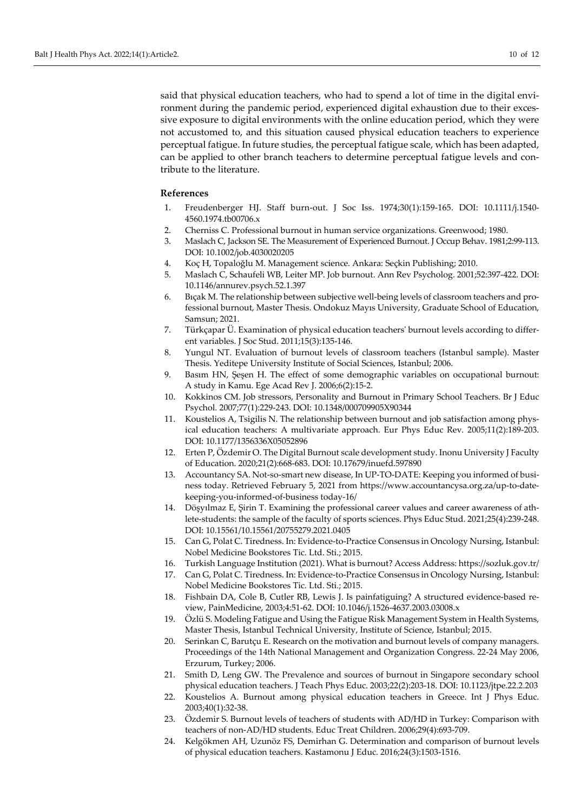said that physical education teachers, who had to spend a lot of time in the digital environment during the pandemic period, experienced digital exhaustion due to their excessive exposure to digital environments with the online education period, which they were not accustomed to, and this situation caused physical education teachers to experience perceptual fatigue. In future studies, the perceptual fatigue scale, which has been adapted, can be applied to other branch teachers to determine perceptual fatigue levels and contribute to the literature.

#### **References**

- 1. Freudenberger HJ. Staff burn-out. J Soc Iss. 1974;30(1):159-165. DOI: [10.1111/j.1540](https://doi.org/10.1111/j.1540-4560.1974.tb00706.x) [4560.1974.tb00706.x](https://doi.org/10.1111/j.1540-4560.1974.tb00706.x)
- 2. Cherniss C. Professional burnout in human service organizations. Greenwood; 1980.
- 3. Maslach C, Jackson SE. The Measurement of Experienced Burnout. J Occup Behav. 1981;2:99-113. DOI: [10.1002/job.4030020](https://doi.org/10.1002/job.4030020205)205
- 4. Koç H, Topaloğlu M. Management science. Ankara: Seçkin Publishing; 2010.
- 5. Maslach C, Schaufeli WB, Leiter MP. Job burnout. Ann Rev Psycholog. 2001;52:397-422. DOI: [10.1146/annurev.psych.52.1](https://doi.org/10.1146/annurev.psych.52.1.397).397
- 6. Bıçak M. The relationship between subjective well-being levels of classroom teachers and professional burnout, Master Thesis. Ondokuz Mayıs University, Graduate School of Education, Samsun; 2021.
- 7. Türkçapar Ü. Examination of physical education teachers' burnout levels according to different variables. J Soc Stud. 2011;15(3):135-146.
- 8. Yungul NT. Evaluation of burnout levels of classroom teachers (Istanbul sample). Master Thesis. Yeditepe University Institute of Social Sciences, Istanbul; 2006.
- 9. Basım HN, Şeşen H. The effect of some demographic variables on occupational burnout: A study in Kamu. Ege Acad Rev J. 2006;6(2):15-2.
- 10. Kokkinos CM. Job stressors, Personality and Burnout in Primary School Teachers. Br J Educ Psychol. 2007;77(1):229-243. DOI: [10.1348/000709905X90344](https://doi.org/10.1348/000709905X90344)
- 11. Koustelios A, Tsigilis N. The relationship between burnout and job satisfaction among physical education teachers: A multivariate approach. Eur Phys Educ Rev. 2005;11(2):189-203. DOI: [10.1177/1356336X05052896](https://doi.org/10.1177/1356336X05052896)
- 12. Erten P, Özdemir O. The Digital Burnout scale development study. Inonu University J Faculty of Education. 2020;21(2):668-683. DOI: [10.17679/inuefd.597890](https://doi.org/10.17679/inuefd.597890)
- 13. Accountancy SA. Not-so-smart new disease, In UP-TO-DATE: Keeping you informed of business today. Retrieved February 5, 2021 from [https://www.accountancysa.org.za/up](https://www.accountancysa.org.za/up-to-date-keeping-you-informed-of-business%20%20today-16/)-to-datekeeping[-you-informed-of-business today-](https://www.accountancysa.org.za/up-to-date-keeping-you-informed-of-business%20%20today-16/)16/
- 14. Döşyılmaz E, Şirin T. Examining the professional career values and career awareness of athlete-students: the sample of the faculty of sports sciences. Phys Educ Stud. 2021;25(4):239-248. DOI: [10.15561/10.15561/20755279.2021.0405](https://doi.org/10.15561/10.15561/20755279.2021.0405)
- 15. Can G, Polat C. Tiredness. In: Evidence-to-Practice Consensus in Oncology Nursing, Istanbul: Nobel Medicine Bookstores Tic. Ltd. Sti.; 2015.
- 16. Turkish Language Institution (2021). What is burnout? Access Address:<https://sozluk.gov.tr/>
- 17. Can G, Polat C. Tiredness. In: Evidence-to-Practice Consensus in Oncology Nursing, Istanbul: Nobel Medicine Bookstores Tic. Ltd. Sti.; 2015.
- 18. Fishbain DA, Cole B, Cutler RB, Lewis J. Is painfatiguing? A structured evidence-based review, PainMedicine, 2003;4:51-62. DOI: 10.1046/j.1526-[4637.2003.03008.x](https://doi.org/10.1046/j.1526-4637.2003.03008.x)
- 19. Özlü S. Modeling Fatigue and Using the Fatigue Risk Management System in Health Systems, Master Thesis, Istanbul Technical University, Institute of Science, Istanbul; 2015.
- 20. Serinkan C, Barutçu E. Research on the motivation and burnout levels of company managers. Proceedings of the 14th National Management and Organization Congress. 22-24 May 2006, Erzurum, Turkey; 2006.
- 21. Smith D, Leng GW. The Prevalence and sources of burnout in Singapore secondary school physical education teachers. J Teach Phys Educ. 2003;22(2):203-18. DOI: 10.1123/jtpe.22.2.203
- 22. Koustelios A. Burnout among physical education teachers in Greece. Int J Phys Educ. 2003;40(1):32-38.
- 23. Özdemir S. Burnout levels of teachers of students with AD/HD in Turkey: Comparison with teachers of non-AD/HD students. Educ Treat Children. 2006;29(4):693-709.
- 24. Kelgökmen AH, Uzunöz FS, Demirhan G. Determination and comparison of burnout levels of physical education teachers. Kastamonu J Educ. 2016;24(3):1503-1516.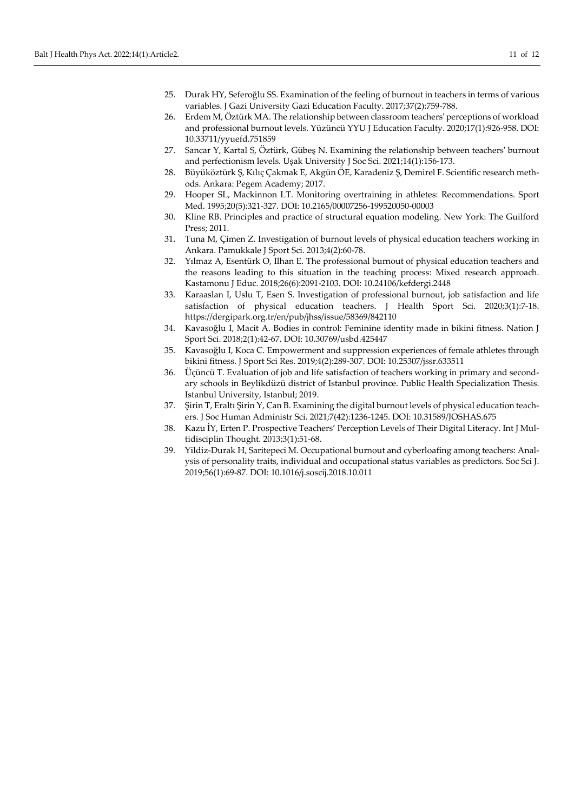- 25. Durak HY, Seferoğlu SS. Examination of the feeling of burnout in teachers in terms of various variables. J Gazi University Gazi Education Faculty. 2017;37(2):759-788.
- 26. Erdem M, Öztürk MA. The relationship between classroom teachers' perceptions of workload and professional burnout levels. Yüzüncü YYU J Education Faculty. 2020;17(1):926-958. [DOI:](https://doi.org/10.33711/yyuefd.751859)  [10.33711/yyuefd.751859](https://doi.org/10.33711/yyuefd.751859)
- 27. Sancar Y, Kartal S, Öztürk, Gübeş N. Examining the relationship between teachers' burnout and perfectionism levels. Uşak University J Soc Sci. 2021;14(1):156-173.
- 28. Büyüköztürk Ş, Kılıç Çakmak E, Akgün ÖE, Karadeniz Ş, Demirel F. Scientific research methods. Ankara: Pegem Academy; 2017.
- 29. Hooper SL, Mackinnon LT. Monitoring overtraining in athletes: Recommendations. Sport Med. 1995;20(5):321-327. DOI: 10.2165/00007256[-199520050-00003](https://doi.org/10.2165/00007256-199520050-00003)
- 30. Kline RB. Principles and practice of structural equation modeling. New York: The Guilford Press; 2011.
- 31. Tuna M, Çimen Z. Investigation of burnout levels of physical education teachers working in Ankara. Pamukkale J Sport Sci. 2013;4(2):60-78.
- 32. Yılmaz A, Esentürk O, Ilhan E. The professional burnout of physical education teachers and the reasons leading to this situation in the teaching process: Mixed research approach. Kastamonu J Educ. 2018;26(6):2091-2103. DOI: [10.24106/kefdergi.2448](https://doi.org/10.24106/kefdergi.2448)
- 33. Karaaslan I, Uslu T, Esen S. Investigation of professional burnout, job satisfaction and life satisfaction of physical education teachers. J Health Sport Sci. 2020;3(1):7-18. <https://dergipark.org.tr/en/pub/jhss/issue/58369/842110>
- 34. Kavasoğlu I, Macit A. Bodies in control: Feminine identity made in bikini fitness. Nation J Sport Sci. 2018;2(1):42-67. DOI: [10.30769/usbd.425447](https://doi.org/10.30769/usbd.425447)
- 35. Kavasoğlu I, Koca C. Empowerment and suppression experiences of female athletes through bikini fitness. J Sport Sci Res. 2019;4(2):289-307. DOI: [10.25307/jssr.633511](https://doi.org/10.25307/jssr.633511)
- 36. Üçüncü T. Evaluation of job and life satisfaction of teachers working in primary and secondary schools in Beylikdüzü district of Istanbul province. Public Health Specialization Thesis. Istanbul University, Istanbul; 2019.
- 37. Şirin T, Eraltı Şirin Y, Can B. Examining the digital burnout levels of physical education teachers. J Soc Human Administr Sci. 2021;7(42):1236-1245. DOI: [10.31589/JOSHAS.675](https://doi.org/10.31589/JOSHAS.675)
- 38. Kazu İY, Erten P. Prospective Teachers' Perception Levels of Their Digital Literacy. Int J Multidisciplin Thought. 2013;3(1):51-68.
- 39. Yildiz-Durak H, Saritepeci M. Occupational burnout and cyberloafing among teachers: Analysis of personality traits, individual and occupational status variables as predictors. Soc Sci J. 2019;56(1):69-87. DOI: [10.1016/j.soscij.2018.10.011](https://doi.org/10.1016/j.soscij.2018.10.011)